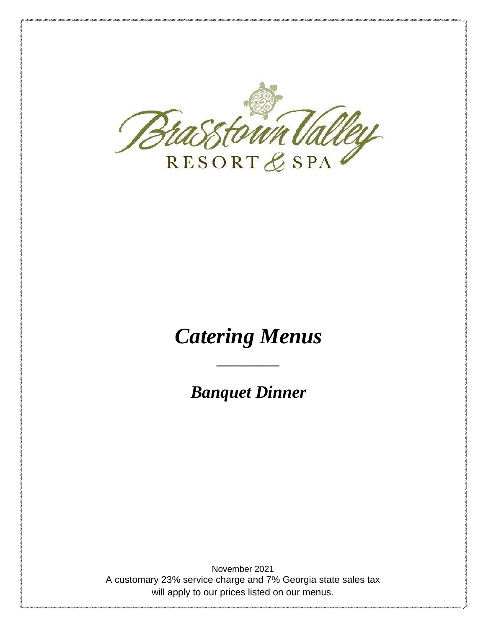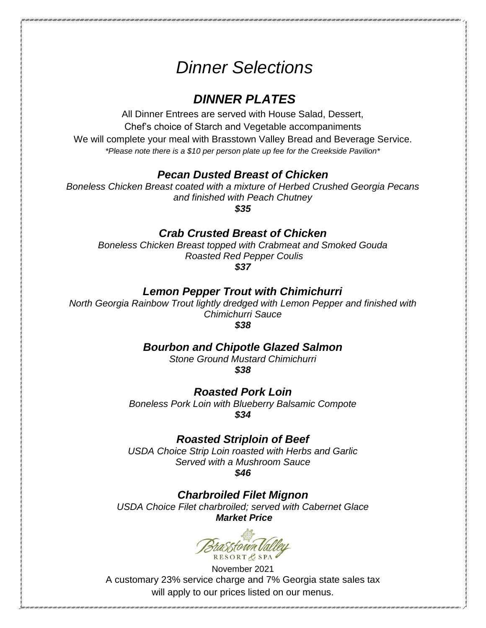# *Dinner Selections*

## *DINNER PLATES*

All Dinner Entrees are served with House Salad, Dessert, Chef's choice of Starch and Vegetable accompaniments We will complete your meal with Brasstown Valley Bread and Beverage Service. *\*Please note there is a \$10 per person plate up fee for the Creekside Pavilion\**

### *Pecan Dusted Breast of Chicken*

*Boneless Chicken Breast coated with a mixture of Herbed Crushed Georgia Pecans and finished with Peach Chutney*

*\$35*

## *Crab Crusted Breast of Chicken*

*Boneless Chicken Breast topped with Crabmeat and Smoked Gouda Roasted Red Pepper Coulis*

*\$37*

## *Lemon Pepper Trout with Chimichurri*

*North Georgia Rainbow Trout lightly dredged with Lemon Pepper and finished with Chimichurri Sauce* 

*\$38*

#### *Bourbon and Chipotle Glazed Salmon*

*Stone Ground Mustard Chimichurri \$38*

*Roasted Pork Loin Boneless Pork Loin with Blueberry Balsamic Compote* 

*\$34*

## *Roasted Striploin of Beef*

*USDA Choice Strip Loin roasted with Herbs and Garlic Served with a Mushroom Sauce \$46*

*Charbroiled Filet Mignon*

*USDA Choice Filet charbroiled; served with Cabernet Glace Market Price*

asstown Vall RESORTESPA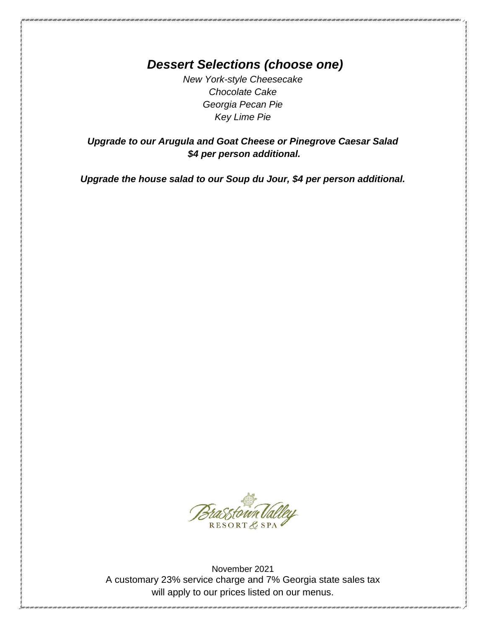*Dessert Selections (choose one)*

*New York-style Cheesecake Chocolate Cake Georgia Pecan Pie Key Lime Pie*

*Upgrade to our Arugula and Goat Cheese or Pinegrove Caesar Salad \$4 per person additional.*

*Upgrade the house salad to our Soup du Jour, \$4 per person additional.*

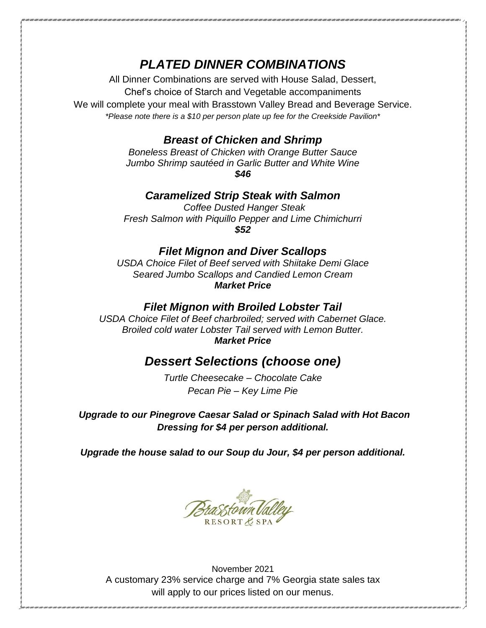## *PLATED DINNER COMBINATIONS*

All Dinner Combinations are served with House Salad, Dessert,

Chef's choice of Starch and Vegetable accompaniments

We will complete your meal with Brasstown Valley Bread and Beverage Service. *\*Please note there is a \$10 per person plate up fee for the Creekside Pavilion\**

## *Breast of Chicken and Shrimp*

*Boneless Breast of Chicken with Orange Butter Sauce Jumbo Shrimp sautéed in Garlic Butter and White Wine \$46*

### *Caramelized Strip Steak with Salmon*

*Coffee Dusted Hanger Steak Fresh Salmon with Piquillo Pepper and Lime Chimichurri \$52*

#### *Filet Mignon and Diver Scallops*

*USDA Choice Filet of Beef served with Shiitake Demi Glace Seared Jumbo Scallops and Candied Lemon Cream Market Price*

#### *Filet Mignon with Broiled Lobster Tail*

*USDA Choice Filet of Beef charbroiled; served with Cabernet Glace. Broiled cold water Lobster Tail served with Lemon Butter. Market Price*

## *Dessert Selections (choose one)*

*Turtle Cheesecake – Chocolate Cake Pecan Pie – Key Lime Pie*

*Upgrade to our Pinegrove Caesar Salad or Spinach Salad with Hot Bacon Dressing for \$4 per person additional.*

*Upgrade the house salad to our Soup du Jour, \$4 per person additional.*

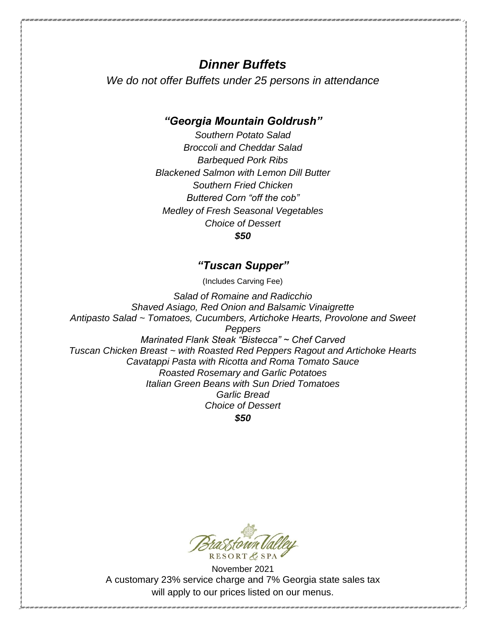## *Dinner Buffets*

*We do not offer Buffets under 25 persons in attendance*

## *"Georgia Mountain Goldrush"*

*Southern Potato Salad Broccoli and Cheddar Salad Barbequed Pork Ribs Blackened Salmon with Lemon Dill Butter Southern Fried Chicken Buttered Corn "off the cob" Medley of Fresh Seasonal Vegetables Choice of Dessert \$50*

### *"Tuscan Supper"*

(Includes Carving Fee)

*Salad of Romaine and Radicchio Shaved Asiago, Red Onion and Balsamic Vinaigrette Antipasto Salad ~ Tomatoes, Cucumbers, Artichoke Hearts, Provolone and Sweet Peppers Marinated Flank Steak "Bistecca" ~ Chef Carved Tuscan Chicken Breast ~ with Roasted Red Peppers Ragout and Artichoke Hearts Cavatappi Pasta with Ricotta and Roma Tomato Sauce Roasted Rosemary and Garlic Potatoes Italian Green Beans with Sun Dried Tomatoes Garlic Bread Choice of Dessert*

*\$50*

RESORTE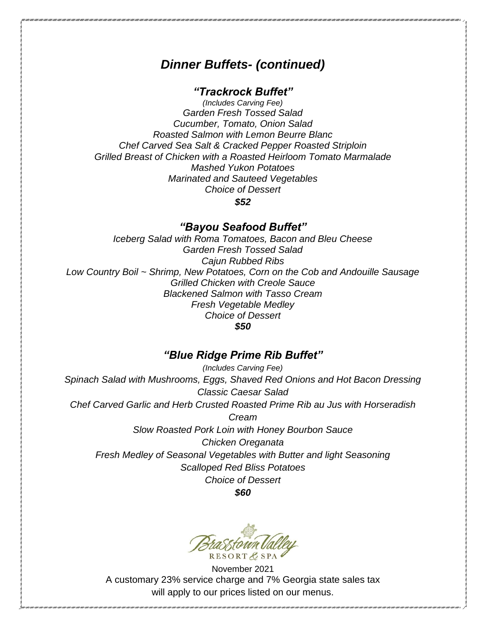## *Dinner Buffets- (continued)*

### *"Trackrock Buffet"*

*(Includes Carving Fee) Garden Fresh Tossed Salad Cucumber, Tomato, Onion Salad Roasted Salmon with Lemon Beurre Blanc Chef Carved Sea Salt & Cracked Pepper Roasted Striploin Grilled Breast of Chicken with a Roasted Heirloom Tomato Marmalade Mashed Yukon Potatoes Marinated and Sauteed Vegetables Choice of Dessert*

*\$52*

#### *"Bayou Seafood Buffet"*

*Iceberg Salad with Roma Tomatoes, Bacon and Bleu Cheese Garden Fresh Tossed Salad Cajun Rubbed Ribs Low Country Boil ~ Shrimp, New Potatoes, Corn on the Cob and Andouille Sausage Grilled Chicken with Creole Sauce Blackened Salmon with Tasso Cream Fresh Vegetable Medley Choice of Dessert \$50*

## *"Blue Ridge Prime Rib Buffet"*

*(Includes Carving Fee) Spinach Salad with Mushrooms, Eggs, Shaved Red Onions and Hot Bacon Dressing Classic Caesar Salad Chef Carved Garlic and Herb Crusted Roasted Prime Rib au Jus with Horseradish Cream Slow Roasted Pork Loin with Honey Bourbon Sauce Chicken Oreganata Fresh Medley of Seasonal Vegetables with Butter and light Seasoning Scalloped Red Bliss Potatoes Choice of Dessert \$60*

RESORTA